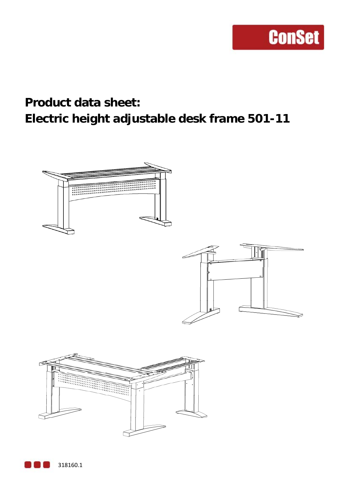### **Product data sheet: Electric height adjustable desk frame 501-11**

**ConSet** 





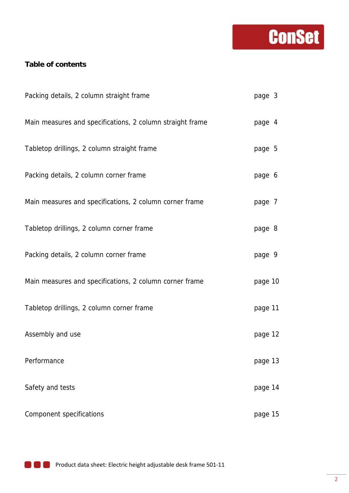# **Conset**

#### **Table of contents**

| Packing details, 2 column straight frame                  | page 3  |  |
|-----------------------------------------------------------|---------|--|
| Main measures and specifications, 2 column straight frame | page 4  |  |
| Tabletop drillings, 2 column straight frame               | page 5  |  |
| Packing details, 2 column corner frame                    | page 6  |  |
| Main measures and specifications, 2 column corner frame   | page 7  |  |
| Tabletop drillings, 2 column corner frame                 | page 8  |  |
| Packing details, 2 column corner frame                    | page 9  |  |
| Main measures and specifications, 2 column corner frame   | page 10 |  |
| Tabletop drillings, 2 column corner frame                 | page 11 |  |
| Assembly and use                                          | page 12 |  |
| Performance                                               | page 13 |  |
| Safety and tests                                          | page 14 |  |
| Component specifications                                  | page 15 |  |

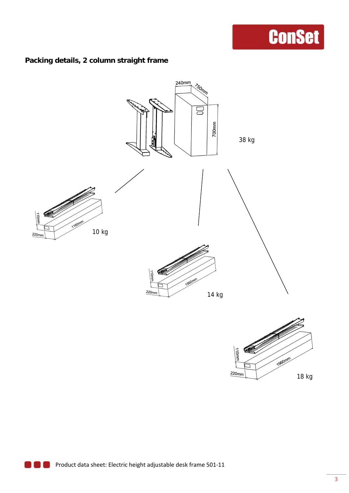#### **Packing details, 2 column straight frame**

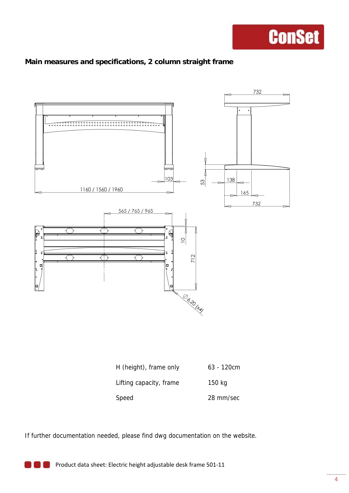

#### **Main measures and specifications, 2 column straight frame**



| Lifting capacity, frame | 150 kg    |
|-------------------------|-----------|
| Speed                   | 28 mm/sec |

If further documentation needed, please find dwg documentation on the website.

**Product data sheet: Electric height adjustable desk frame 501-11**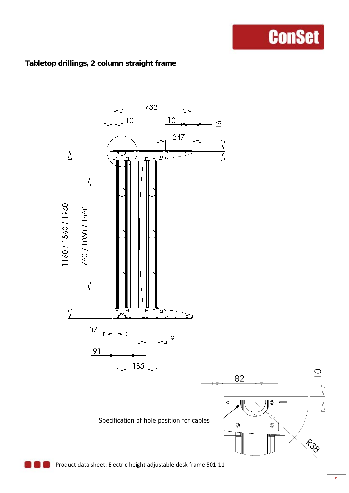#### **Tabletop drillings, 2 column straight frame**

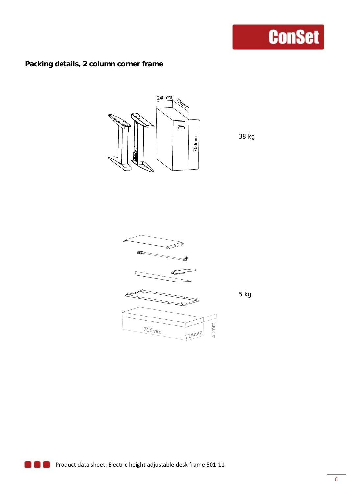#### **Packing details, 2 column corner frame**



38 kg

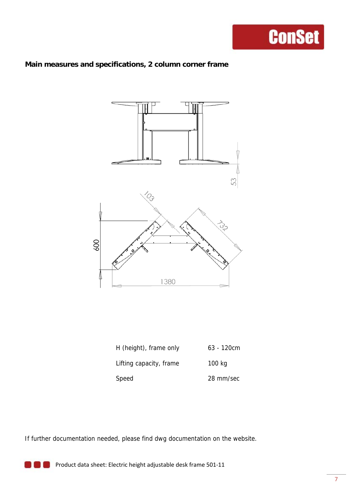

#### **Main measures and specifications, 2 column corner frame**



| H (height), frame only  | $63 - 120$ cm |
|-------------------------|---------------|
| Lifting capacity, frame | 100 kg        |
| Speed                   | 28 mm/sec     |

If further documentation needed, please find dwg documentation on the website.

**Product data sheet: Electric height adjustable desk frame 501-11**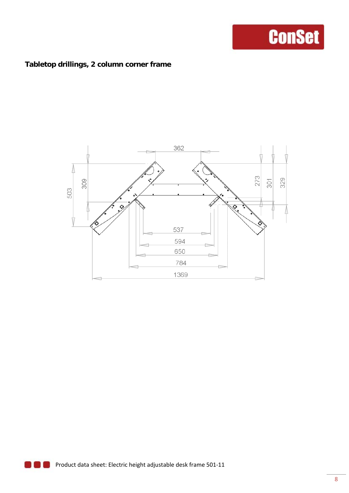#### **Tabletop drillings, 2 column corner frame**



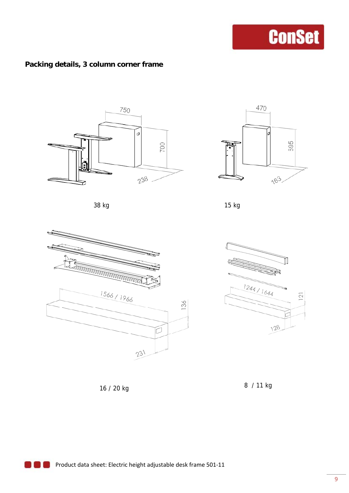#### **Packing details, 3 column corner frame**



38 kg 15 kg 15 kg 15 kg 15 kg 15 kg 16 kg 16 kg 16 kg 16 kg 16 kg 16 kg 16 kg 16 kg 16 kg 16 kg 16 kg 16 kg 16







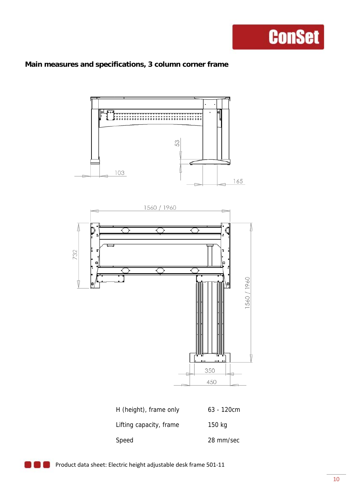

#### **Main measures and specifications, 3 column corner frame**



| H (height), frame only  | $63 - 120$ cm |
|-------------------------|---------------|
| Lifting capacity, frame | 150 kg        |
| Speed                   | 28 mm/sec     |

**Product data sheet: Electric height adjustable desk frame 501-11**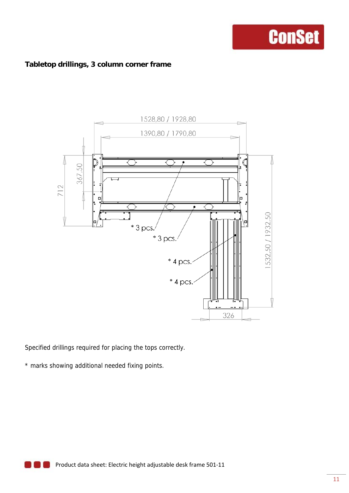#### **Tabletop drillings, 3 column corner frame**



Specified drillings required for placing the tops correctly.

\* marks showing additional needed fixing points.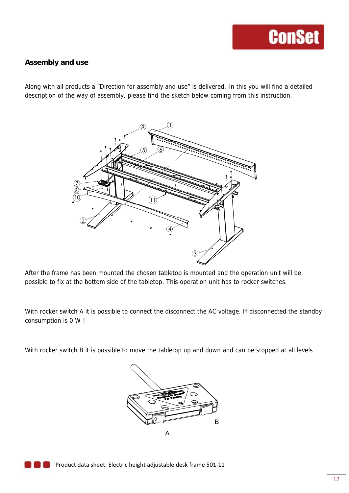#### **Assembly and use**

Along with all products a "Direction for assembly and use" is delivered. In this you will find a detailed description of the way of assembly, please find the sketch below coming from this instruction.



After the frame has been mounted the chosen tabletop is mounted and the operation unit will be possible to fix at the bottom side of the tabletop. This operation unit has to rocker switches.

With rocker switch A it is possible to connect the disconnect the AC voltage. If disconnected the standby consumption is 0 W !

With rocker switch B it is possible to move the tabletop up and down and can be stopped at all levels

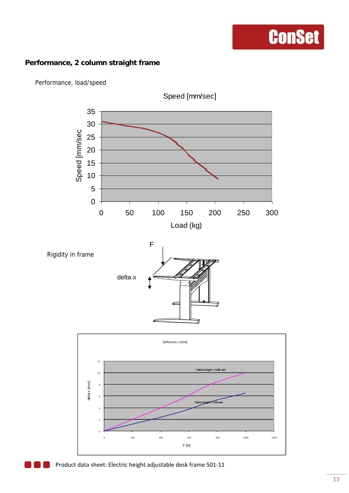#### **Performance, 2 column straight frame**



Performance, load/speed



F [N]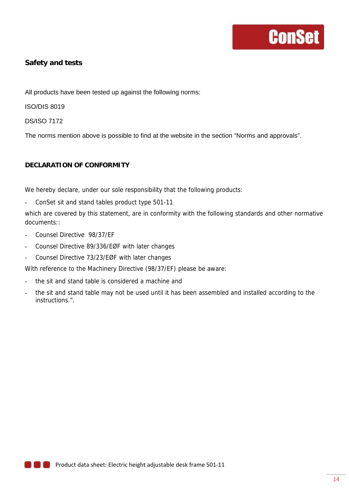#### **Safety and tests**

All products have been tested up against the following norms:

ISO/DIS 8019

DS/ISO 7172

The norms mention above is possible to find at the website in the section "Norms and approvals".

#### **DECLARATION OF CONFORMITY**

We hereby declare, under our sole responsibility that the following products:

- ConSet sit and stand tables product type 501-11

which are covered by this statement, are in conformity with the following standards and other normative documents::

- Counsel Directive 98/37/EF
- Counsel Directive 89/336/EØF with later changes
- Counsel Directive 73/23/EØF with later changes

With reference to the Machinery Directive (98/37/EF) please be aware:

- the sit and stand table is considered a machine and
- the sit and stand table may not be used until it has been assembled and installed according to the instructions.".